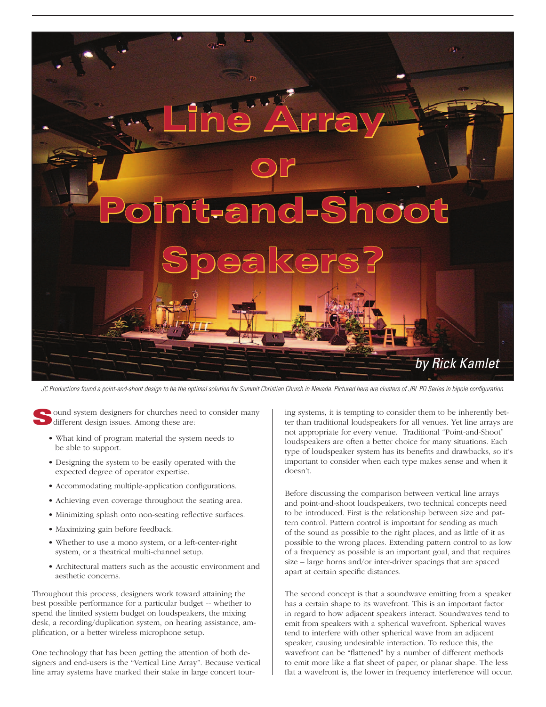

JC Productions found a point-and-shoot design to be the optimal solution for Summit Christian Church in Nevada. Pictured here are clusters of JBL PD Series in bipole configuration.

ound system designers for churches need to consider many different design issues. Among these are:

- What kind of program material the system needs to be able to support.
- Designing the system to be easily operated with the expected degree of operator expertise.
- Accommodating multiple-application configurations.
- Achieving even coverage throughout the seating area.
- Minimizing splash onto non-seating reflective surfaces.
- Maximizing gain before feedback.
- Whether to use a mono system, or a left-center-right system, or a theatrical multi-channel setup.
- Architectural matters such as the acoustic environment and aesthetic concerns.

Throughout this process, designers work toward attaining the best possible performance for a particular budget -- whether to spend the limited system budget on loudspeakers, the mixing desk, a recording/duplication system, on hearing assistance, amplification, or a better wireless microphone setup.

One technology that has been getting the attention of both designers and end-users is the "Vertical Line Array". Because vertical line array systems have marked their stake in large concert tour-

ing systems, it is tempting to consider them to be inherently better than traditional loudspeakers for all venues. Yet line arrays are not appropriate for every venue. Traditional "Point-and-Shoot" loudspeakers are often a better choice for many situations. Each type of loudspeaker system has its benefits and drawbacks, so it's important to consider when each type makes sense and when it doesn't.

Before discussing the comparison between vertical line arrays and point-and-shoot loudspeakers, two technical concepts need to be introduced. First is the relationship between size and pattern control. Pattern control is important for sending as much of the sound as possible to the right places, and as little of it as possible to the wrong places. Extending pattern control to as low of a frequency as possible is an important goal, and that requires size – large horns and/or inter-driver spacings that are spaced apart at certain specific distances.

The second concept is that a soundwave emitting from a speaker has a certain shape to its wavefront. This is an important factor in regard to how adjacent speakers interact. Soundwaves tend to emit from speakers with a spherical wavefront. Spherical waves tend to interfere with other spherical wave from an adjacent speaker, causing undesirable interaction. To reduce this, the wavefront can be "flattened" by a number of different methods to emit more like a flat sheet of paper, or planar shape. The less flat a wavefront is, the lower in frequency interference will occur.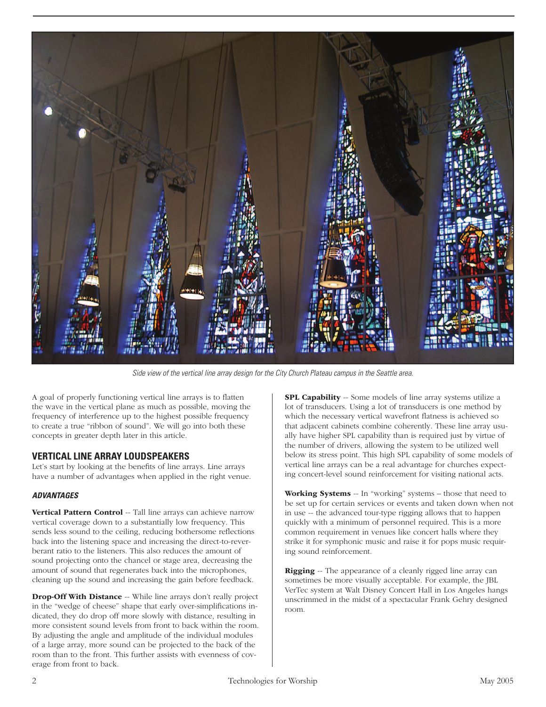

Side view of the vertical line array design for the City Church Plateau campus in the Seattle area.

A goal of properly functioning vertical line arrays is to flatten the wave in the vertical plane as much as possible, moving the frequency of interference up to the highest possible frequency to create a true "ribbon of sound". We will go into both these concepts in greater depth later in this article.

## **VERTICAL LINE ARRAY LOUDSPEAKERS**

Let's start by looking at the benefits of line arrays. Line arrays have a number of advantages when applied in the right venue.

#### **ADVANTAGES**

Vertical Pattern Control -- Tall line arrays can achieve narrow vertical coverage down to a substantially low frequency. This sends less sound to the ceiling, reducing bothersome reflections back into the listening space and increasing the direct-to-reverberant ratio to the listeners. This also reduces the amount of sound projecting onto the chancel or stage area, decreasing the amount of sound that regenerates back into the microphones, cleaning up the sound and increasing the gain before feedback.

Drop-Off With Distance -- While line arrays don't really project in the "wedge of cheese" shape that early over-simplifications indicated, they do drop off more slowly with distance, resulting in more consistent sound levels from front to back within the room. By adjusting the angle and amplitude of the individual modules of a large array, more sound can be projected to the back of the room than to the front. This further assists with evenness of coverage from front to back.

SPL Capability -- Some models of line array systems utilize a lot of transducers. Using a lot of transducers is one method by which the necessary vertical wavefront flatness is achieved so that adjacent cabinets combine coherently. These line array usually have higher SPL capability than is required just by virtue of the number of drivers, allowing the system to be utilized well below its stress point. This high SPL capability of some models of vertical line arrays can be a real advantage for churches expecting concert-level sound reinforcement for visiting national acts.

Working Systems -- In "working" systems - those that need to be set up for certain services or events and taken down when not in use -- the advanced tour-type rigging allows that to happen quickly with a minimum of personnel required. This is a more common requirement in venues like concert halls where they strike it for symphonic music and raise it for pops music requiring sound reinforcement.

**Rigging** -- The appearance of a cleanly rigged line array can sometimes be more visually acceptable. For example, the JBL VerTec system at Walt Disney Concert Hall in Los Angeles hangs unscrimmed in the midst of a spectacular Frank Gehry designed room.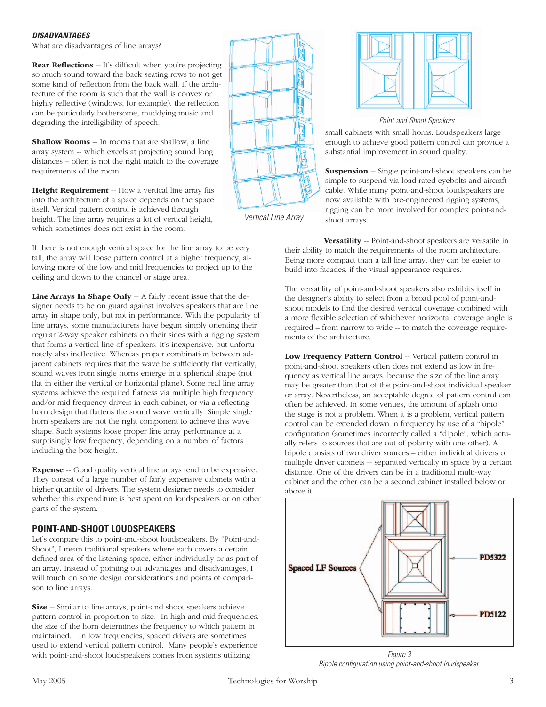## **DISADVANTAGES**

What are disadvantages of line arrays?

Rear Reflections -- It's difficult when you're projecting so much sound toward the back seating rows to not get some kind of reflection from the back wall. If the architecture of the room is such that the wall is convex or highly reflective (windows, for example), the reflection can be particularly bothersome, muddying music and degrading the intelligibility of speech.

Shallow Rooms -- In rooms that are shallow, a line array system -- which excels at projecting sound long distances – often is not the right match to the coverage requirements of the room.

Height Requirement -- How a vertical line array fits into the architecture of a space depends on the space itself. Vertical pattern control is achieved through height. The line array requires a lot of vertical height, which sometimes does not exist in the room.

If there is not enough vertical space for the line array to be very tall, the array will loose pattern control at a higher frequency, allowing more of the low and mid frequencies to project up to the ceiling and down to the chancel or stage area.

Line Arrays In Shape Only -- A fairly recent issue that the designer needs to be on guard against involves speakers that are line array in shape only, but not in performance. With the popularity of line arrays, some manufacturers have begun simply orienting their regular 2-way speaker cabinets on their sides with a rigging system that forms a vertical line of speakers. It's inexpensive, but unfortunately also ineffective. Whereas proper combination between adjacent cabinets requires that the wave be sufficiently flat vertically, sound waves from single horns emerge in a spherical shape (not flat in either the vertical or horizontal plane). Some real line array systems achieve the required flatness via multiple high frequency and/or mid frequency drivers in each cabinet, or via a reflecting horn design that flattens the sound wave vertically. Simple single horn speakers are not the right component to achieve this wave shape. Such systems loose proper line array performance at a surprisingly low frequency, depending on a number of factors including the box height.

Expense -- Good quality vertical line arrays tend to be expensive. They consist of a large number of fairly expensive cabinets with a higher quantity of drivers. The system designer needs to consider whether this expenditure is best spent on loudspeakers or on other parts of the system.

# **POINT-AND-SHOOT LOUDSPEAKERS**

Let's compare this to point-and-shoot loudspeakers. By "Point-and-Shoot", I mean traditional speakers where each covers a certain defined area of the listening space, either individually or as part of an array. Instead of pointing out advantages and disadvantages, I will touch on some design considerations and points of comparison to line arrays.

Size -- Similar to line arrays, point-and shoot speakers achieve pattern control in proportion to size. In high and mid frequencies, the size of the horn determines the frequency to which pattern in maintained. In low frequencies, spaced drivers are sometimes used to extend vertical pattern control. Many people's experience with point-and-shoot loudspeakers comes from systems utilizing



Vertical Line Array



Point-and-Shoot Speakers

small cabinets with small horns. Loudspeakers large enough to achieve good pattern control can provide a substantial improvement in sound quality.

**Suspension** -- Single point-and-shoot speakers can be simple to suspend via load-rated eyebolts and aircraft cable. While many point-and-shoot loudspeakers are now available with pre-engineered rigging systems, rigging can be more involved for complex point-andshoot arrays.

Versatility -- Point-and-shoot speakers are versatile in their ability to match the requirements of the room architecture. Being more compact than a tall line array, they can be easier to build into facades, if the visual appearance requires.

The versatility of point-and-shoot speakers also exhibits itself in the designer's ability to select from a broad pool of point-andshoot models to find the desired vertical coverage combined with a more flexible selection of whichever horizontal coverage angle is required – from narrow to wide -- to match the coverage requirements of the architecture.

Low Frequency Pattern Control -- Vertical pattern control in point-and-shoot speakers often does not extend as low in frequency as vertical line arrays, because the size of the line array may be greater than that of the point-and-shoot individual speaker or array. Nevertheless, an acceptable degree of pattern control can often be achieved. In some venues, the amount of splash onto the stage is not a problem. When it is a problem, vertical pattern control can be extended down in frequency by use of a "bipole" configuration (sometimes incorrectly called a "dipole", which actually refers to sources that are out of polarity with one other). A bipole consists of two driver sources – either individual drivers or multiple driver cabinets -- separated vertically in space by a certain distance. One of the drivers can be in a traditional multi-way cabinet and the other can be a second cabinet installed below or above it.



Figure 3 Bipole configuration using point-and-shoot loudspeaker.